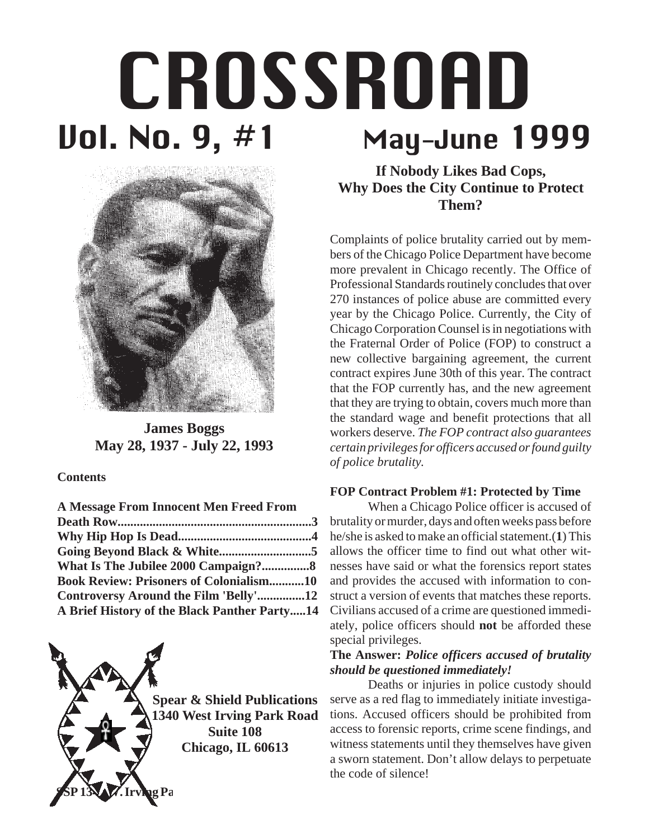# **Vol. No. 9,**  $#1$  **May-June 1999** CROSSROAD



**James Boggs May 28, 1937 - July 22, 1993**

# **Contents**

| A Message From Innocent Men Freed From         |  |
|------------------------------------------------|--|
|                                                |  |
|                                                |  |
|                                                |  |
|                                                |  |
| <b>Book Review: Prisoners of Colonialism10</b> |  |
| Controversy Around the Film 'Belly'12          |  |
| A Brief History of the Black Panther Party14   |  |



**If Nobody Likes Bad Cops, Why Does the City Continue to Protect Them?**

Complaints of police brutality carried out by members of the Chicago Police Department have become more prevalent in Chicago recently. The Office of Professional Standards routinely concludes that over 270 instances of police abuse are committed every year by the Chicago Police. Currently, the City of Chicago Corporation Counsel is in negotiations with the Fraternal Order of Police (FOP) to construct a new collective bargaining agreement, the current contract expires June 30th of this year. The contract that the FOP currently has, and the new agreement that they are trying to obtain, covers much more than the standard wage and benefit protections that all workers deserve. *The FOP contract also guarantees certain privileges for officers accused or found guilty of police brutality.*

# **FOP Contract Problem #1: Protected by Time**

When a Chicago Police officer is accused of brutality or murder, days and often weeks pass before he/she is asked to make an official statement.(**1**) This allows the officer time to find out what other witnesses have said or what the forensics report states and provides the accused with information to construct a version of events that matches these reports. Civilians accused of a crime are questioned immediately, police officers should **not** be afforded these special privileges.

# **The Answer:** *Police officers accused of brutality should be questioned immediately!*

Deaths or injuries in police custody should serve as a red flag to immediately initiate investigations. Accused officers should be prohibited from access to forensic reports, crime scene findings, and witness statements until they themselves have given a sworn statement. Don't allow delays to perpetuate the code of silence!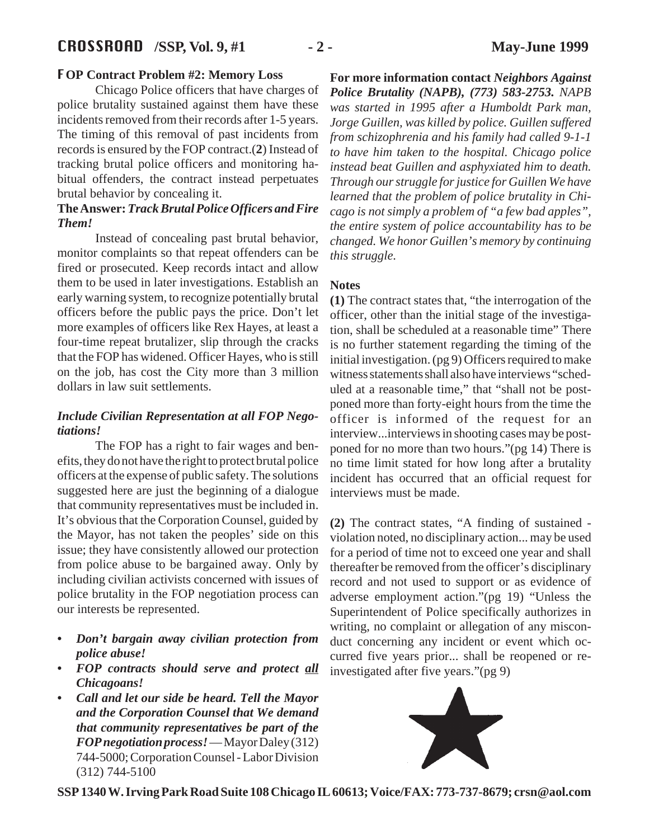# F**OP Contract Problem #2: Memory Loss**

Chicago Police officers that have charges of police brutality sustained against them have these incidents removed from their records after 1-5 years. The timing of this removal of past incidents from records is ensured by the FOP contract.(**2**) Instead of tracking brutal police officers and monitoring habitual offenders, the contract instead perpetuates brutal behavior by concealing it.

# **The Answer:** *Track Brutal Police Officers and Fire Them!*

Instead of concealing past brutal behavior, monitor complaints so that repeat offenders can be fired or prosecuted. Keep records intact and allow them to be used in later investigations. Establish an early warning system, to recognize potentially brutal officers before the public pays the price. Don't let more examples of officers like Rex Hayes, at least a four-time repeat brutalizer, slip through the cracks that the FOP has widened. Officer Hayes, who is still on the job, has cost the City more than 3 million dollars in law suit settlements.

# *Include Civilian Representation at all FOP Negotiations!*

The FOP has a right to fair wages and benefits, they do not have the right to protect brutal police officers at the expense of public safety. The solutions suggested here are just the beginning of a dialogue that community representatives must be included in. It's obvious that the Corporation Counsel, guided by the Mayor, has not taken the peoples' side on this issue; they have consistently allowed our protection from police abuse to be bargained away. Only by including civilian activists concerned with issues of police brutality in the FOP negotiation process can our interests be represented.

- *Don't bargain away civilian protection from police abuse!*
- *FOP contracts should serve and protect all Chicagoans!*
- *Call and let our side be heard. Tell the Mayor and the Corporation Counsel that We demand that community representatives be part of the FOP negotiation process!* — Mayor Daley (312) 744-5000; Corporation Counsel - Labor Division (312) 744-5100

**For more information contact** *Neighbors Against Police Brutality (NAPB), (773) 583-2753. NAPB was started in 1995 after a Humboldt Park man, Jorge Guillen, was killed by police. Guillen suffered from schizophrenia and his family had called 9-1-1 to have him taken to the hospital. Chicago police instead beat Guillen and asphyxiated him to death. Through our struggle for justice for Guillen We have learned that the problem of police brutality in Chicago is not simply a problem of "a few bad apples", the entire system of police accountability has to be changed. We honor Guillen's memory by continuing this struggle.*

# **Notes**

**(1)** The contract states that, "the interrogation of the officer, other than the initial stage of the investigation, shall be scheduled at a reasonable time" There is no further statement regarding the timing of the initial investigation. (pg 9) Officers required to make witness statements shall also have interviews "scheduled at a reasonable time," that "shall not be postponed more than forty-eight hours from the time the officer is informed of the request for an interview...interviews in shooting cases may be postponed for no more than two hours."(pg 14) There is no time limit stated for how long after a brutality incident has occurred that an official request for interviews must be made.

**(2)** The contract states, "A finding of sustained violation noted, no disciplinary action... may be used for a period of time not to exceed one year and shall thereafter be removed from the officer's disciplinary record and not used to support or as evidence of adverse employment action."(pg 19) "Unless the Superintendent of Police specifically authorizes in writing, no complaint or allegation of any misconduct concerning any incident or event which occurred five years prior... shall be reopened or reinvestigated after five years."(pg 9)

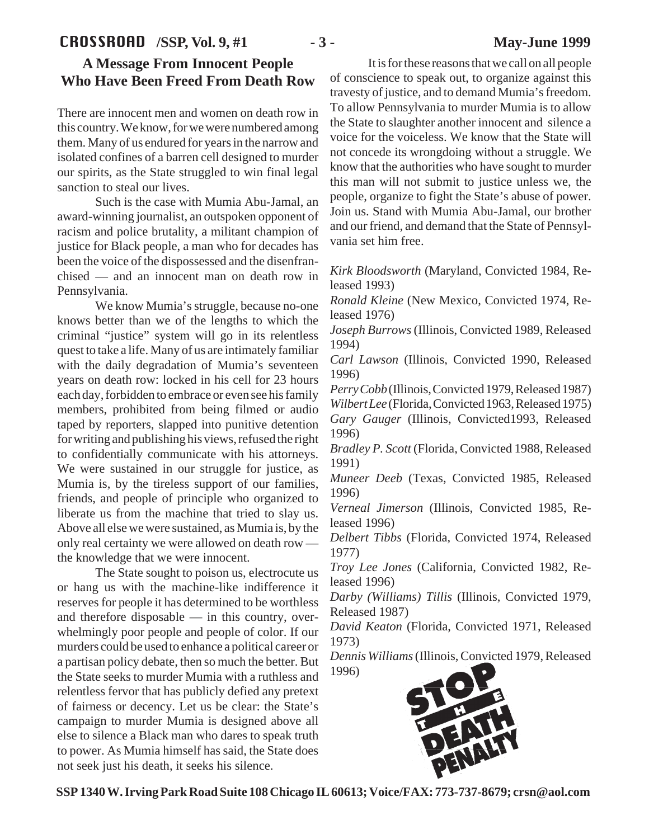# CROSSROAD **/SSP, Vol. 9, #1 - 3 - May-June 1999**

# **A Message From Innocent People Who Have Been Freed From Death Row**

There are innocent men and women on death row in this country. We know, for we were numbered among them. Many of us endured for years in the narrow and isolated confines of a barren cell designed to murder our spirits, as the State struggled to win final legal sanction to steal our lives.

Such is the case with Mumia Abu-Jamal, an award-winning journalist, an outspoken opponent of racism and police brutality, a militant champion of justice for Black people, a man who for decades has been the voice of the dispossessed and the disenfranchised — and an innocent man on death row in Pennsylvania.

We know Mumia's struggle, because no-one knows better than we of the lengths to which the criminal "justice" system will go in its relentless quest to take a life. Many of us are intimately familiar with the daily degradation of Mumia's seventeen years on death row: locked in his cell for 23 hours each day, forbidden to embrace or even see his family members, prohibited from being filmed or audio taped by reporters, slapped into punitive detention for writing and publishing his views, refused the right to confidentially communicate with his attorneys. We were sustained in our struggle for justice, as Mumia is, by the tireless support of our families, friends, and people of principle who organized to liberate us from the machine that tried to slay us. Above all else we were sustained, as Mumia is, by the only real certainty we were allowed on death row the knowledge that we were innocent.

The State sought to poison us, electrocute us or hang us with the machine-like indifference it reserves for people it has determined to be worthless and therefore disposable — in this country, overwhelmingly poor people and people of color. If our murders could be used to enhance a political career or a partisan policy debate, then so much the better. But the State seeks to murder Mumia with a ruthless and relentless fervor that has publicly defied any pretext of fairness or decency. Let us be clear: the State's campaign to murder Mumia is designed above all else to silence a Black man who dares to speak truth to power. As Mumia himself has said, the State does not seek just his death, it seeks his silence.

It is for these reasons that we call on all people of conscience to speak out, to organize against this travesty of justice, and to demand Mumia's freedom. To allow Pennsylvania to murder Mumia is to allow the State to slaughter another innocent and silence a voice for the voiceless. We know that the State will not concede its wrongdoing without a struggle. We know that the authorities who have sought to murder this man will not submit to justice unless we, the people, organize to fight the State's abuse of power. Join us. Stand with Mumia Abu-Jamal, our brother and our friend, and demand that the State of Pennsylvania set him free.

*Kirk Bloodsworth* (Maryland, Convicted 1984, Released 1993)

*Ronald Kleine* (New Mexico, Convicted 1974, Released 1976)

*Joseph Burrows* (Illinois, Convicted 1989, Released 1994)

*Carl Lawson* (Illinois, Convicted 1990, Released 1996)

*Perry Cobb* (Illinois, Convicted 1979, Released 1987) *Wilbert Lee* (Florida, Convicted 1963, Released 1975) *Gary Gauger* (Illinois, Convicted1993, Released 1996)

*Bradley P. Scott* (Florida, Convicted 1988, Released 1991)

*Muneer Deeb* (Texas, Convicted 1985, Released 1996)

*Verneal Jimerson* (Illinois, Convicted 1985, Released 1996)

*Delbert Tibbs* (Florida, Convicted 1974, Released 1977)

*Troy Lee Jones* (California, Convicted 1982, Released 1996)

*Darby (Williams) Tillis* (Illinois, Convicted 1979, Released 1987)

*David Keaton* (Florida, Convicted 1971, Released 1973)

*Dennis Williams* (Illinois, Convicted 1979, Released 1996)

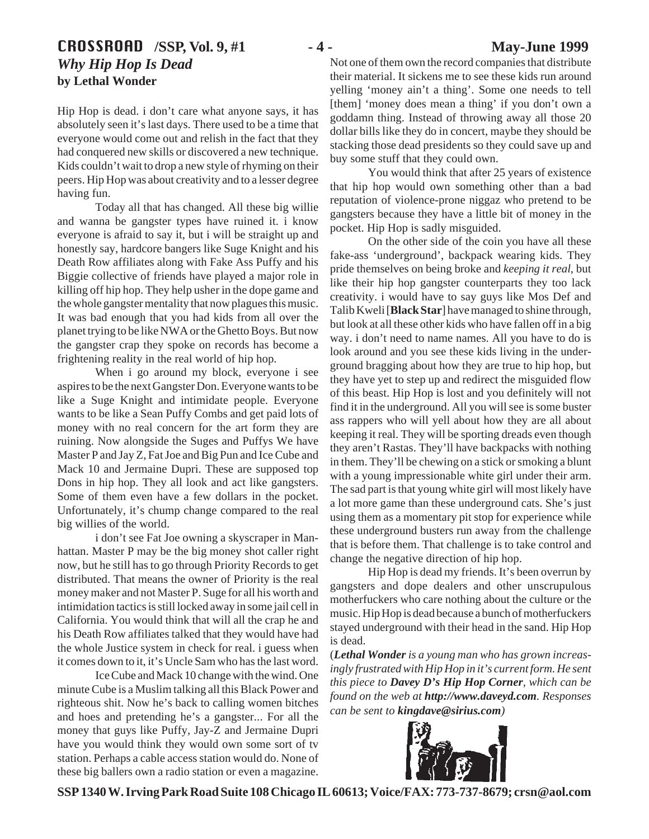# CROSSROAD **/SSP, Vol. 9, #1 - 4 - May-June 1999** *Why Hip Hop Is Dead* **by Lethal Wonder**

Hip Hop is dead. i don't care what anyone says, it has absolutely seen it's last days. There used to be a time that everyone would come out and relish in the fact that they had conquered new skills or discovered a new technique. Kids couldn't wait to drop a new style of rhyming on their peers. Hip Hop was about creativity and to a lesser degree having fun.

Today all that has changed. All these big willie and wanna be gangster types have ruined it. i know everyone is afraid to say it, but i will be straight up and honestly say, hardcore bangers like Suge Knight and his Death Row affiliates along with Fake Ass Puffy and his Biggie collective of friends have played a major role in killing off hip hop. They help usher in the dope game and the whole gangster mentality that now plagues this music. It was bad enough that you had kids from all over the planet trying to be like NWA or the Ghetto Boys. But now the gangster crap they spoke on records has become a frightening reality in the real world of hip hop.

When i go around my block, everyone i see aspires to be the next Gangster Don. Everyone wants to be like a Suge Knight and intimidate people. Everyone wants to be like a Sean Puffy Combs and get paid lots of money with no real concern for the art form they are ruining. Now alongside the Suges and Puffys We have Master P and Jay Z, Fat Joe and Big Pun and Ice Cube and Mack 10 and Jermaine Dupri. These are supposed top Dons in hip hop. They all look and act like gangsters. Some of them even have a few dollars in the pocket. Unfortunately, it's chump change compared to the real big willies of the world.

i don't see Fat Joe owning a skyscraper in Manhattan. Master P may be the big money shot caller right now, but he still has to go through Priority Records to get distributed. That means the owner of Priority is the real money maker and not Master P. Suge for all his worth and intimidation tactics is still locked away in some jail cell in California. You would think that will all the crap he and his Death Row affiliates talked that they would have had the whole Justice system in check for real. i guess when it comes down to it, it's Uncle Sam who has the last word.

Ice Cube and Mack 10 change with the wind. One minute Cube is a Muslim talking all this Black Power and righteous shit. Now he's back to calling women bitches and hoes and pretending he's a gangster... For all the money that guys like Puffy, Jay-Z and Jermaine Dupri have you would think they would own some sort of tv station. Perhaps a cable access station would do. None of these big ballers own a radio station or even a magazine. Not one of them own the record companies that distribute their material. It sickens me to see these kids run around yelling 'money ain't a thing'. Some one needs to tell [them] 'money does mean a thing' if you don't own a goddamn thing. Instead of throwing away all those 20 dollar bills like they do in concert, maybe they should be stacking those dead presidents so they could save up and buy some stuff that they could own.

You would think that after 25 years of existence that hip hop would own something other than a bad reputation of violence-prone niggaz who pretend to be gangsters because they have a little bit of money in the pocket. Hip Hop is sadly misguided.

On the other side of the coin you have all these fake-ass 'underground', backpack wearing kids. They pride themselves on being broke and *keeping it real*, but like their hip hop gangster counterparts they too lack creativity. i would have to say guys like Mos Def and Talib Kweli [**Black Star**] have managed to shine through, but look at all these other kids who have fallen off in a big way. i don't need to name names. All you have to do is look around and you see these kids living in the underground bragging about how they are true to hip hop, but they have yet to step up and redirect the misguided flow of this beast. Hip Hop is lost and you definitely will not find it in the underground. All you will see is some buster ass rappers who will yell about how they are all about keeping it real. They will be sporting dreads even though they aren't Rastas. They'll have backpacks with nothing in them. They'll be chewing on a stick or smoking a blunt with a young impressionable white girl under their arm. The sad part is that young white girl will most likely have a lot more game than these underground cats. She's just using them as a momentary pit stop for experience while these underground busters run away from the challenge that is before them. That challenge is to take control and change the negative direction of hip hop.

Hip Hop is dead my friends. It's been overrun by gangsters and dope dealers and other unscrupulous motherfuckers who care nothing about the culture or the music. Hip Hop is dead because a bunch of motherfuckers stayed underground with their head in the sand. Hip Hop is dead.

(*Lethal Wonder is a young man who has grown increasingly frustrated with Hip Hop in it's current form. He sent this piece to Davey D's Hip Hop Corner*, *which can be found on the web at http://www.daveyd.com. Responses can be sent to kingdave@sirius.com)*

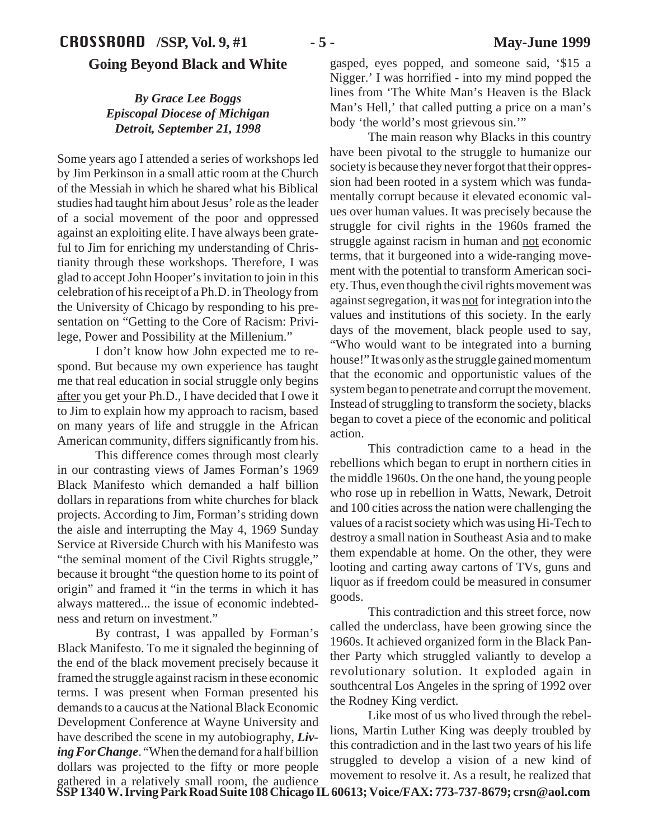# **Going Beyond Black and White**

# *By Grace Lee Boggs Episcopal Diocese of Michigan Detroit, September 21, 1998*

Some years ago I attended a series of workshops led by Jim Perkinson in a small attic room at the Church of the Messiah in which he shared what his Biblical studies had taught him about Jesus' role as the leader of a social movement of the poor and oppressed against an exploiting elite. I have always been grateful to Jim for enriching my understanding of Christianity through these workshops. Therefore, I was glad to accept John Hooper's invitation to join in this celebration of his receipt of a Ph.D. in Theology from the University of Chicago by responding to his presentation on "Getting to the Core of Racism: Privilege, Power and Possibility at the Millenium."

I don't know how John expected me to respond. But because my own experience has taught me that real education in social struggle only begins after you get your Ph.D., I have decided that I owe it to Jim to explain how my approach to racism, based on many years of life and struggle in the African American community, differs significantly from his.

This difference comes through most clearly in our contrasting views of James Forman's 1969 Black Manifesto which demanded a half billion dollars in reparations from white churches for black projects. According to Jim, Forman's striding down the aisle and interrupting the May 4, 1969 Sunday Service at Riverside Church with his Manifesto was "the seminal moment of the Civil Rights struggle," because it brought "the question home to its point of origin" and framed it "in the terms in which it has always mattered... the issue of economic indebtedness and return on investment."

**SSP 1340 W. Irving Park Road Suite 108 Chicago IL 60613; Voice/FAX: 773-737-8679; crsn@aol.com** By contrast, I was appalled by Forman's Black Manifesto. To me it signaled the beginning of the end of the black movement precisely because it framed the struggle against racism in these economic terms. I was present when Forman presented his demands to a caucus at the National Black Economic Development Conference at Wayne University and have described the scene in my autobiography, *Living For Change*. "When the demand for a half billion dollars was projected to the fifty or more people gathered in a relatively small room, the audience

gasped, eyes popped, and someone said, '\$15 a Nigger.' I was horrified - into my mind popped the lines from 'The White Man's Heaven is the Black Man's Hell,' that called putting a price on a man's body 'the world's most grievous sin.'"

The main reason why Blacks in this country have been pivotal to the struggle to humanize our society is because they never forgot that their oppression had been rooted in a system which was fundamentally corrupt because it elevated economic values over human values. It was precisely because the struggle for civil rights in the 1960s framed the struggle against racism in human and not economic terms, that it burgeoned into a wide-ranging movement with the potential to transform American society. Thus, even though the civil rights movement was against segregation, it was not for integration into the values and institutions of this society. In the early days of the movement, black people used to say, "Who would want to be integrated into a burning house!" It was only as the struggle gained momentum that the economic and opportunistic values of the system began to penetrate and corrupt the movement. Instead of struggling to transform the society, blacks began to covet a piece of the economic and political action.

This contradiction came to a head in the rebellions which began to erupt in northern cities in the middle 1960s. On the one hand, the young people who rose up in rebellion in Watts, Newark, Detroit and 100 cities across the nation were challenging the values of a racist society which was using Hi-Tech to destroy a small nation in Southeast Asia and to make them expendable at home. On the other, they were looting and carting away cartons of TVs, guns and liquor as if freedom could be measured in consumer goods.

This contradiction and this street force, now called the underclass, have been growing since the 1960s. It achieved organized form in the Black Panther Party which struggled valiantly to develop a revolutionary solution. It exploded again in southcentral Los Angeles in the spring of 1992 over the Rodney King verdict.

Like most of us who lived through the rebellions, Martin Luther King was deeply troubled by this contradiction and in the last two years of his life struggled to develop a vision of a new kind of movement to resolve it. As a result, he realized that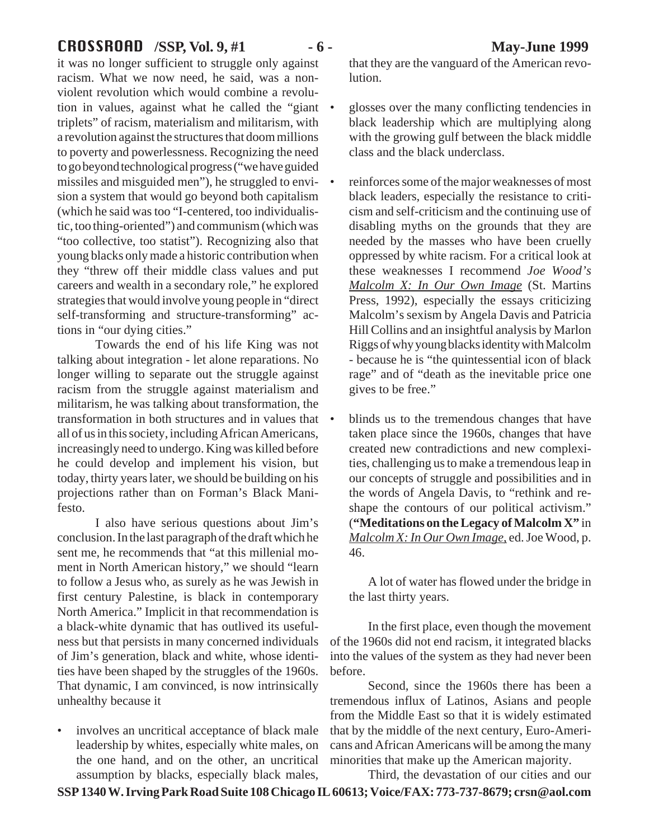# CROSSROAD **/SSP, Vol. 9, #1 - 6 - May-June 1999**

it was no longer sufficient to struggle only against racism. What we now need, he said, was a nonviolent revolution which would combine a revolution in values, against what he called the "giant • triplets" of racism, materialism and militarism, with a revolution against the structures that doom millions to poverty and powerlessness. Recognizing the need to go beyond technological progress ("we have guided missiles and misguided men"), he struggled to envision a system that would go beyond both capitalism (which he said was too "I-centered, too individualistic, too thing-oriented") and communism (which was "too collective, too statist"). Recognizing also that young blacks only made a historic contribution when they "threw off their middle class values and put careers and wealth in a secondary role," he explored strategies that would involve young people in "direct self-transforming and structure-transforming" actions in "our dying cities."

Towards the end of his life King was not talking about integration - let alone reparations. No longer willing to separate out the struggle against racism from the struggle against materialism and militarism, he was talking about transformation, the transformation in both structures and in values that all of us in this society, including African Americans, increasingly need to undergo. King was killed before he could develop and implement his vision, but today, thirty years later, we should be building on his projections rather than on Forman's Black Manifesto.

I also have serious questions about Jim's conclusion. In the last paragraph of the draft which he sent me, he recommends that "at this millenial moment in North American history," we should "learn to follow a Jesus who, as surely as he was Jewish in first century Palestine, is black in contemporary North America." Implicit in that recommendation is a black-white dynamic that has outlived its usefulness but that persists in many concerned individuals of Jim's generation, black and white, whose identities have been shaped by the struggles of the 1960s. That dynamic, I am convinced, is now intrinsically unhealthy because it

involves an uncritical acceptance of black male leadership by whites, especially white males, on the one hand, and on the other, an uncritical assumption by blacks, especially black males,

that they are the vanguard of the American revolution.

- glosses over the many conflicting tendencies in black leadership which are multiplying along with the growing gulf between the black middle class and the black underclass.
- reinforces some of the major weaknesses of most black leaders, especially the resistance to criticism and self-criticism and the continuing use of disabling myths on the grounds that they are needed by the masses who have been cruelly oppressed by white racism. For a critical look at these weaknesses I recommend *Joe Wood's Malcolm X: In Our Own Image* (St. Martins Press, 1992), especially the essays criticizing Malcolm's sexism by Angela Davis and Patricia Hill Collins and an insightful analysis by Marlon Riggs of why young blacks identity with Malcolm - because he is "the quintessential icon of black rage" and of "death as the inevitable price one gives to be free."
- blinds us to the tremendous changes that have taken place since the 1960s, changes that have created new contradictions and new complexities, challenging us to make a tremendous leap in our concepts of struggle and possibilities and in the words of Angela Davis, to "rethink and reshape the contours of our political activism." (**"Meditations on the Legacy of Malcolm X"** in *Malcolm X: In Our Own Image*, ed. Joe Wood, p. 46.

A lot of water has flowed under the bridge in the last thirty years.

In the first place, even though the movement of the 1960s did not end racism, it integrated blacks into the values of the system as they had never been before.

Second, since the 1960s there has been a tremendous influx of Latinos, Asians and people from the Middle East so that it is widely estimated that by the middle of the next century, Euro-Americans and African Americans will be among the many minorities that make up the American majority.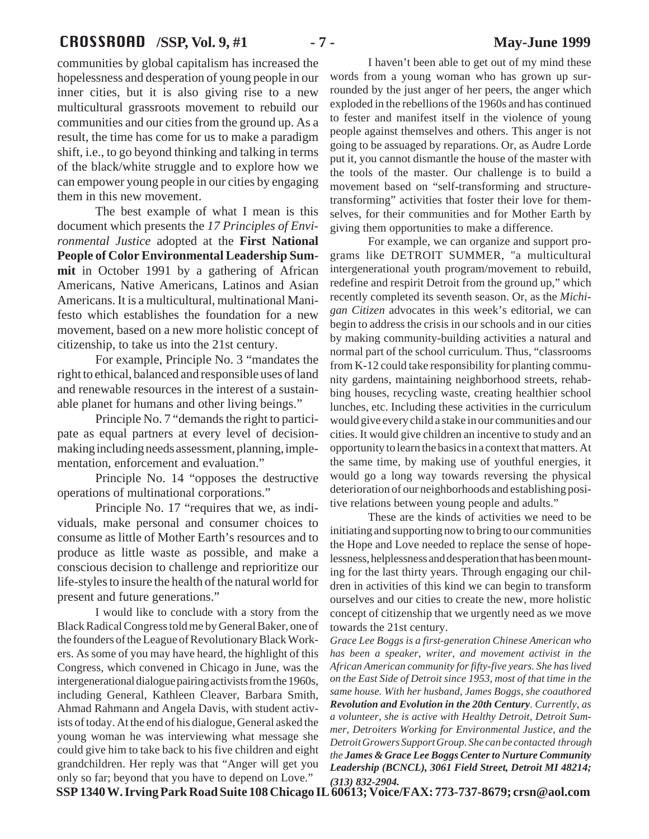# CROSSROAD **/SSP, Vol. 9, #1 - 7 - May-June 1999**

communities by global capitalism has increased the hopelessness and desperation of young people in our inner cities, but it is also giving rise to a new multicultural grassroots movement to rebuild our communities and our cities from the ground up. As a result, the time has come for us to make a paradigm shift, i.e., to go beyond thinking and talking in terms of the black/white struggle and to explore how we can empower young people in our cities by engaging them in this new movement.

The best example of what I mean is this document which presents the *17 Principles of Environmental Justice* adopted at the **First National People of Color Environmental Leadership Summit** in October 1991 by a gathering of African Americans, Native Americans, Latinos and Asian Americans. It is a multicultural, multinational Manifesto which establishes the foundation for a new movement, based on a new more holistic concept of citizenship, to take us into the 21st century.

For example, Principle No. 3 "mandates the right to ethical, balanced and responsible uses of land and renewable resources in the interest of a sustainable planet for humans and other living beings."

Principle No. 7 "demands the right to participate as equal partners at every level of decisionmaking including needs assessment, planning, implementation, enforcement and evaluation."

Principle No. 14 "opposes the destructive operations of multinational corporations."

Principle No. 17 "requires that we, as individuals, make personal and consumer choices to consume as little of Mother Earth's resources and to produce as little waste as possible, and make a conscious decision to challenge and reprioritize our life-styles to insure the health of the natural world for present and future generations."

I would like to conclude with a story from the Black Radical Congress told me by General Baker, one of the founders of the League of Revolutionary Black Workers. As some of you may have heard, the highlight of this Congress, which convened in Chicago in June, was the intergenerational dialogue pairing activists from the 1960s, including General, Kathleen Cleaver, Barbara Smith, Ahmad Rahmann and Angela Davis, with student activists of today. At the end of his dialogue, General asked the young woman he was interviewing what message she could give him to take back to his five children and eight grandchildren. Her reply was that "Anger will get you only so far; beyond that you have to depend on Love."

I haven't been able to get out of my mind these words from a young woman who has grown up surrounded by the just anger of her peers, the anger which exploded in the rebellions of the 1960s and has continued to fester and manifest itself in the violence of young people against themselves and others. This anger is not going to be assuaged by reparations. Or, as Audre Lorde put it, you cannot dismantle the house of the master with the tools of the master. Our challenge is to build a movement based on "self-transforming and structuretransforming" activities that foster their love for themselves, for their communities and for Mother Earth by giving them opportunities to make a difference.

For example, we can organize and support programs like DETROIT SUMMER, "a multicultural intergenerational youth program/movement to rebuild, redefine and respirit Detroit from the ground up," which recently completed its seventh season. Or, as the *Michigan Citizen* advocates in this week's editorial, we can begin to address the crisis in our schools and in our cities by making community-building activities a natural and normal part of the school curriculum. Thus, "classrooms from K-12 could take responsibility for planting community gardens, maintaining neighborhood streets, rehabbing houses, recycling waste, creating healthier school lunches, etc. Including these activities in the curriculum would give every child a stake in our communities and our cities. It would give children an incentive to study and an opportunity to learn the basics in a context that matters. At the same time, by making use of youthful energies, it would go a long way towards reversing the physical deterioration of our neighborhoods and establishing positive relations between young people and adults."

These are the kinds of activities we need to be initiating and supporting now to bring to our communities the Hope and Love needed to replace the sense of hopelessness, helplessness and desperation that has been mounting for the last thirty years. Through engaging our children in activities of this kind we can begin to transform ourselves and our cities to create the new, more holistic concept of citizenship that we urgently need as we move towards the 21st century.

*Grace Lee Boggs is a first-generation Chinese American who has been a speaker, writer, and movement activist in the African American community for fifty-five years. She has lived on the East Side of Detroit since 1953, most of that time in the same house. With her husband, James Boggs, she coauthored Revolution and Evolution in the 20th Century. Currently, as a volunteer, she is active with Healthy Detroit, Detroit Summer, Detroiters Working for Environmental Justice, and the Detroit Growers Support Group. She can be contacted through the James & Grace Lee Boggs Center to Nurture Community Leadership (BCNCL), 3061 Field Street, Detroit MI 48214; (313) 832-2904.*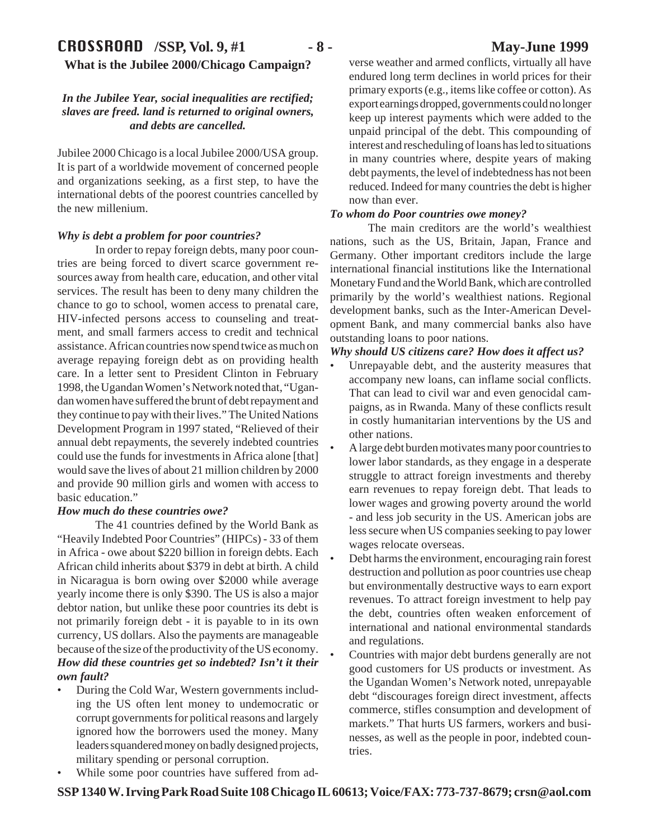# CROSSROAD **/SSP, Vol. 9, #1 - 8 - May-June 1999**

### **What is the Jubilee 2000/Chicago Campaign?**

# *In the Jubilee Year, social inequalities are rectified; slaves are freed. land is returned to original owners, and debts are cancelled.*

Jubilee 2000 Chicago is a local Jubilee 2000/USA group. It is part of a worldwide movement of concerned people and organizations seeking, as a first step, to have the international debts of the poorest countries cancelled by the new millenium.

### *Why is debt a problem for poor countries?*

In order to repay foreign debts, many poor countries are being forced to divert scarce government resources away from health care, education, and other vital services. The result has been to deny many children the chance to go to school, women access to prenatal care, HIV-infected persons access to counseling and treatment, and small farmers access to credit and technical assistance. African countries now spend twice as much on average repaying foreign debt as on providing health care. In a letter sent to President Clinton in February 1998, the Ugandan Women's Network noted that, "Ugandan women have suffered the brunt of debt repayment and they continue to pay with their lives." The United Nations Development Program in 1997 stated, "Relieved of their annual debt repayments, the severely indebted countries could use the funds for investments in Africa alone [that] would save the lives of about 21 million children by 2000 and provide 90 million girls and women with access to basic education."

### *How much do these countries owe?*

The 41 countries defined by the World Bank as "Heavily Indebted Poor Countries" (HIPCs) - 33 of them in Africa - owe about \$220 billion in foreign debts. Each African child inherits about \$379 in debt at birth. A child in Nicaragua is born owing over \$2000 while average yearly income there is only \$390. The US is also a major debtor nation, but unlike these poor countries its debt is not primarily foreign debt - it is payable to in its own currency, US dollars. Also the payments are manageable because of the size of the productivity of the US economy. *How did these countries get so indebted? Isn't it their own fault?*

• During the Cold War, Western governments including the US often lent money to undemocratic or corrupt governments for political reasons and largely ignored how the borrowers used the money. Many leaders squandered money on badly designed projects, military spending or personal corruption.

verse weather and armed conflicts, virtually all have endured long term declines in world prices for their primary exports (e.g., items like coffee or cotton). As export earnings dropped, governments could no longer keep up interest payments which were added to the unpaid principal of the debt. This compounding of interest and rescheduling of loans has led to situations in many countries where, despite years of making debt payments, the level of indebtedness has not been reduced. Indeed for many countries the debt is higher now than ever.

### *To whom do Poor countries owe money?*

The main creditors are the world's wealthiest nations, such as the US, Britain, Japan, France and Germany. Other important creditors include the large international financial institutions like the International Monetary Fund and the World Bank, which are controlled primarily by the world's wealthiest nations. Regional development banks, such as the Inter-American Development Bank, and many commercial banks also have outstanding loans to poor nations.

# *Why should US citizens care? How does it affect us?*

- Unrepayable debt, and the austerity measures that accompany new loans, can inflame social conflicts. That can lead to civil war and even genocidal campaigns, as in Rwanda. Many of these conflicts result in costly humanitarian interventions by the US and other nations.
- A large debt burden motivates many poor countries to lower labor standards, as they engage in a desperate struggle to attract foreign investments and thereby earn revenues to repay foreign debt. That leads to lower wages and growing poverty around the world - and less job security in the US. American jobs are less secure when US companies seeking to pay lower wages relocate overseas.
- Debt harms the environment, encouraging rain forest destruction and pollution as poor countries use cheap but environmentally destructive ways to earn export revenues. To attract foreign investment to help pay the debt, countries often weaken enforcement of international and national environmental standards and regulations.
- Countries with major debt burdens generally are not good customers for US products or investment. As the Ugandan Women's Network noted, unrepayable debt "discourages foreign direct investment, affects commerce, stifles consumption and development of markets." That hurts US farmers, workers and businesses, as well as the people in poor, indebted countries.
- While some poor countries have suffered from ad-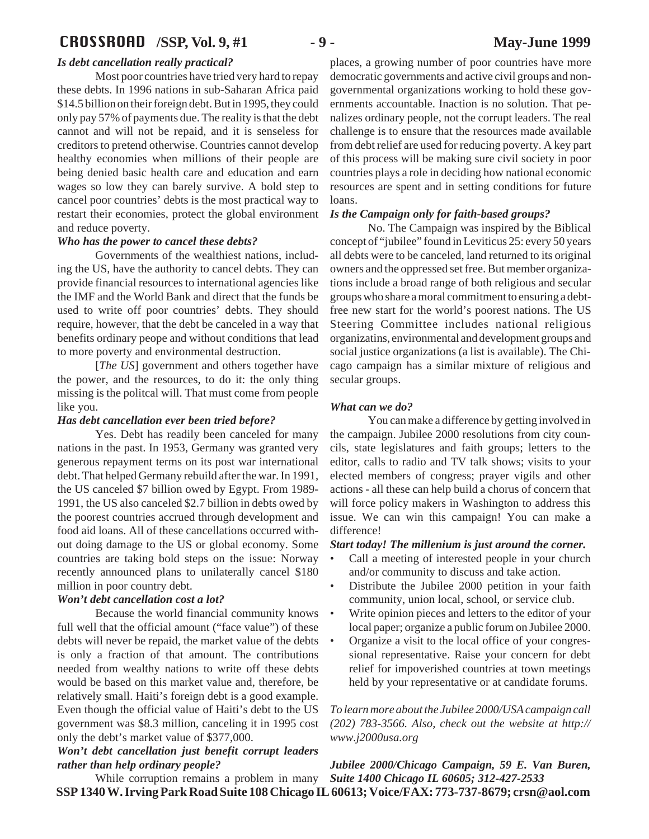# CROSSROAD **/SSP, Vol. 9, #1 - 9 - May-June 1999**

# *Is debt cancellation really practical?*

Most poor countries have tried very hard to repay these debts. In 1996 nations in sub-Saharan Africa paid \$14.5 billion on their foreign debt. But in 1995, they could only pay 57% of payments due. The reality is that the debt cannot and will not be repaid, and it is senseless for creditors to pretend otherwise. Countries cannot develop healthy economies when millions of their people are being denied basic health care and education and earn wages so low they can barely survive. A bold step to cancel poor countries' debts is the most practical way to restart their economies, protect the global environment and reduce poverty.

### *Who has the power to cancel these debts?*

Governments of the wealthiest nations, including the US, have the authority to cancel debts. They can provide financial resources to international agencies like the IMF and the World Bank and direct that the funds be used to write off poor countries' debts. They should require, however, that the debt be canceled in a way that benefits ordinary peope and without conditions that lead to more poverty and environmental destruction.

[*The US*] government and others together have the power, and the resources, to do it: the only thing missing is the politcal will. That must come from people like you.

### *Has debt cancellation ever been tried before?*

Yes. Debt has readily been canceled for many nations in the past. In 1953, Germany was granted very generous repayment terms on its post war international debt. That helped Germany rebuild after the war. In 1991, the US canceled \$7 billion owed by Egypt. From 1989- 1991, the US also canceled \$2.7 billion in debts owed by the poorest countries accrued through development and food aid loans. All of these cancellations occurred without doing damage to the US or global economy. Some countries are taking bold steps on the issue: Norway recently announced plans to unilaterally cancel \$180 million in poor country debt.

### *Won't debt cancellation cost a lot?*

Because the world financial community knows full well that the official amount ("face value") of these debts will never be repaid, the market value of the debts is only a fraction of that amount. The contributions needed from wealthy nations to write off these debts would be based on this market value and, therefore, be relatively small. Haiti's foreign debt is a good example. Even though the official value of Haiti's debt to the US government was \$8.3 million, canceling it in 1995 cost only the debt's market value of \$377,000.

# *Won't debt cancellation just benefit corrupt leaders rather than help ordinary people?*

places, a growing number of poor countries have more democratic governments and active civil groups and nongovernmental organizations working to hold these governments accountable. Inaction is no solution. That penalizes ordinary people, not the corrupt leaders. The real challenge is to ensure that the resources made available from debt relief are used for reducing poverty. A key part of this process will be making sure civil society in poor countries plays a role in deciding how national economic resources are spent and in setting conditions for future loans.

### *Is the Campaign only for faith-based groups?*

No. The Campaign was inspired by the Biblical concept of "jubilee" found in Leviticus 25: every 50 years all debts were to be canceled, land returned to its original owners and the oppressed set free. But member organizations include a broad range of both religious and secular groups who share a moral commitment to ensuring a debtfree new start for the world's poorest nations. The US Steering Committee includes national religious organizatins, environmental and development groups and social justice organizations (a list is available). The Chicago campaign has a similar mixture of religious and secular groups.

### *What can we do?*

You can make a difference by getting involved in the campaign. Jubilee 2000 resolutions from city councils, state legislatures and faith groups; letters to the editor, calls to radio and TV talk shows; visits to your elected members of congress; prayer vigils and other actions - all these can help build a chorus of concern that will force policy makers in Washington to address this issue. We can win this campaign! You can make a difference!

#### *Start today! The millenium is just around the corner.*

- Call a meeting of interested people in your church and/or community to discuss and take action.
- Distribute the Jubilee 2000 petition in your faith community, union local, school, or service club.
- Write opinion pieces and letters to the editor of your local paper; organize a public forum on Jubilee 2000.
- Organize a visit to the local office of your congressional representative. Raise your concern for debt relief for impoverished countries at town meetings held by your representative or at candidate forums.

*To learn more about the Jubilee 2000/USA campaign call (202) 783-3566. Also, check out the website at http:// www.j2000usa.org*

**SSP 1340 W. Irving Park Road Suite 108 Chicago IL 60613; Voice/FAX: 773-737-8679; crsn@aol.com** While corruption remains a problem in many *Jubilee 2000/Chicago Campaign, 59 E. Van Buren, Suite 1400 Chicago IL 60605; 312-427-2533*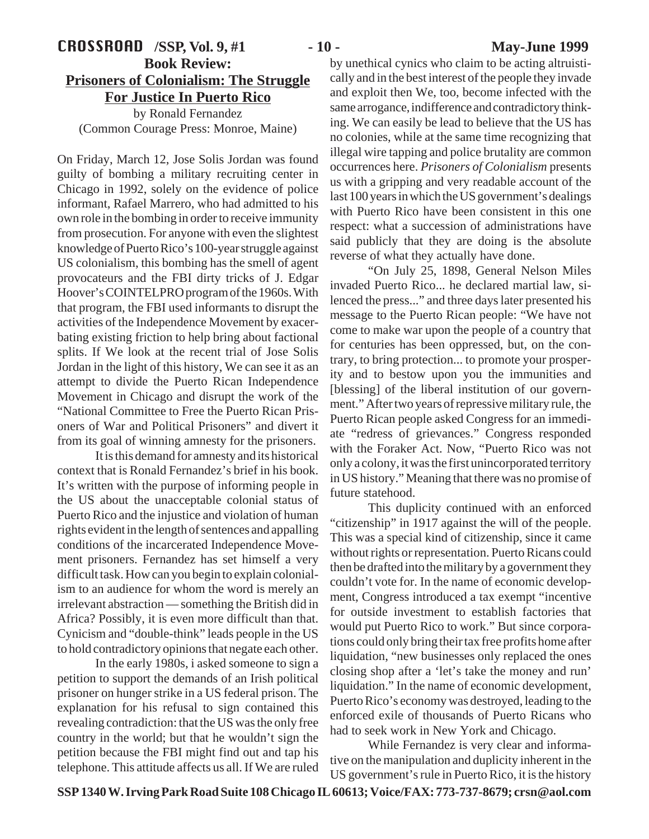# CROSSROAD **/SSP, Vol. 9, #1 - 10 - May-June 1999 Book Review: Prisoners of Colonialism: The Struggle For Justice In Puerto Rico** by Ronald Fernandez

(Common Courage Press: Monroe, Maine)

On Friday, March 12, Jose Solis Jordan was found guilty of bombing a military recruiting center in Chicago in 1992, solely on the evidence of police informant, Rafael Marrero, who had admitted to his own role in the bombing in order to receive immunity from prosecution. For anyone with even the slightest knowledge of Puerto Rico's 100-year struggle against US colonialism, this bombing has the smell of agent provocateurs and the FBI dirty tricks of J. Edgar Hoover's COINTELPRO program of the 1960s. With that program, the FBI used informants to disrupt the activities of the Independence Movement by exacerbating existing friction to help bring about factional splits. If We look at the recent trial of Jose Solis Jordan in the light of this history, We can see it as an attempt to divide the Puerto Rican Independence Movement in Chicago and disrupt the work of the "National Committee to Free the Puerto Rican Prisoners of War and Political Prisoners" and divert it from its goal of winning amnesty for the prisoners.

It is this demand for amnesty and its historical context that is Ronald Fernandez's brief in his book. It's written with the purpose of informing people in the US about the unacceptable colonial status of Puerto Rico and the injustice and violation of human rights evident in the length of sentences and appalling conditions of the incarcerated Independence Movement prisoners. Fernandez has set himself a very difficult task. How can you begin to explain colonialism to an audience for whom the word is merely an irrelevant abstraction — something the British did in Africa? Possibly, it is even more difficult than that. Cynicism and "double-think" leads people in the US to hold contradictory opinions that negate each other.

In the early 1980s, i asked someone to sign a petition to support the demands of an Irish political prisoner on hunger strike in a US federal prison. The explanation for his refusal to sign contained this revealing contradiction: that the US was the only free country in the world; but that he wouldn't sign the petition because the FBI might find out and tap his telephone. This attitude affects us all. If We are ruled

by unethical cynics who claim to be acting altruistically and in the best interest of the people they invade and exploit then We, too, become infected with the same arrogance, indifference and contradictory thinking. We can easily be lead to believe that the US has no colonies, while at the same time recognizing that illegal wire tapping and police brutality are common occurrences here. *Prisoners of Colonialism* presents us with a gripping and very readable account of the last 100 years in which the US government's dealings with Puerto Rico have been consistent in this one respect: what a succession of administrations have said publicly that they are doing is the absolute reverse of what they actually have done.

"On July 25, 1898, General Nelson Miles invaded Puerto Rico... he declared martial law, silenced the press..." and three days later presented his message to the Puerto Rican people: "We have not come to make war upon the people of a country that for centuries has been oppressed, but, on the contrary, to bring protection... to promote your prosperity and to bestow upon you the immunities and [blessing] of the liberal institution of our government." After two years of repressive military rule, the Puerto Rican people asked Congress for an immediate "redress of grievances." Congress responded with the Foraker Act. Now, "Puerto Rico was not only a colony, it was the first unincorporated territory in US history." Meaning that there was no promise of future statehood.

This duplicity continued with an enforced "citizenship" in 1917 against the will of the people. This was a special kind of citizenship, since it came without rights or representation. Puerto Ricans could then be drafted into the military by a government they couldn't vote for. In the name of economic development, Congress introduced a tax exempt "incentive for outside investment to establish factories that would put Puerto Rico to work." But since corporations could only bring their tax free profits home after liquidation, "new businesses only replaced the ones closing shop after a 'let's take the money and run' liquidation." In the name of economic development, Puerto Rico's economy was destroyed, leading to the enforced exile of thousands of Puerto Ricans who had to seek work in New York and Chicago.

While Fernandez is very clear and informative on the manipulation and duplicity inherent in the US government's rule in Puerto Rico, it is the history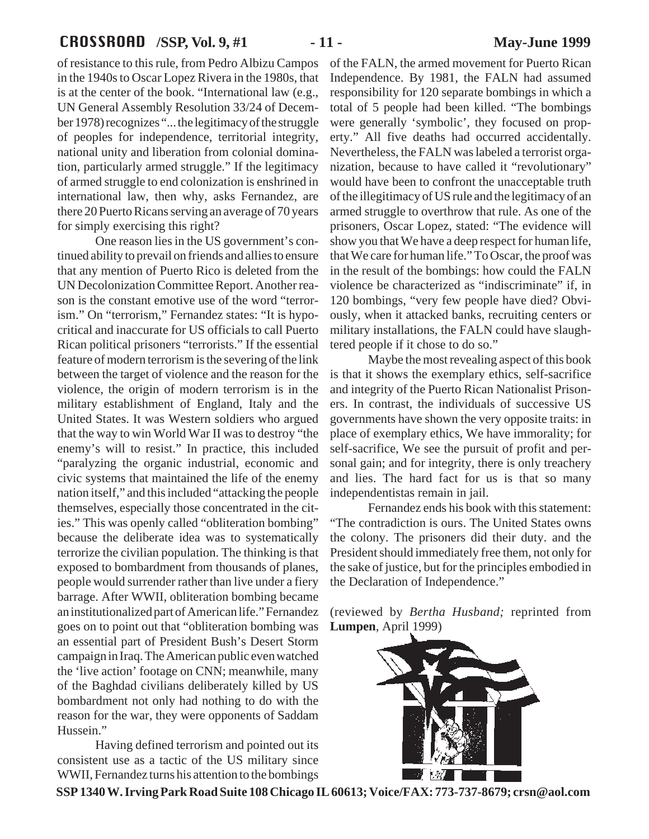# CROSSROAD **/SSP, Vol. 9, #1 - 11 - May-June 1999**

of resistance to this rule, from Pedro Albizu Campos in the 1940s to Oscar Lopez Rivera in the 1980s, that is at the center of the book. "International law (e.g., UN General Assembly Resolution 33/24 of December 1978) recognizes "... the legitimacy of the struggle of peoples for independence, territorial integrity, national unity and liberation from colonial domination, particularly armed struggle." If the legitimacy of armed struggle to end colonization is enshrined in international law, then why, asks Fernandez, are there 20 Puerto Ricans serving an average of 70 years for simply exercising this right?

One reason lies in the US government's continued ability to prevail on friends and allies to ensure that any mention of Puerto Rico is deleted from the UN Decolonization Committee Report. Another reason is the constant emotive use of the word "terrorism." On "terrorism," Fernandez states: "It is hypocritical and inaccurate for US officials to call Puerto Rican political prisoners "terrorists." If the essential feature of modern terrorism is the severing of the link between the target of violence and the reason for the violence, the origin of modern terrorism is in the military establishment of England, Italy and the United States. It was Western soldiers who argued that the way to win World War II was to destroy "the enemy's will to resist." In practice, this included "paralyzing the organic industrial, economic and civic systems that maintained the life of the enemy nation itself," and this included "attacking the people themselves, especially those concentrated in the cities." This was openly called "obliteration bombing" because the deliberate idea was to systematically terrorize the civilian population. The thinking is that exposed to bombardment from thousands of planes, people would surrender rather than live under a fiery barrage. After WWII, obliteration bombing became an institutionalized part of American life." Fernandez goes on to point out that "obliteration bombing was an essential part of President Bush's Desert Storm campaign in Iraq. The American public even watched the 'live action' footage on CNN; meanwhile, many of the Baghdad civilians deliberately killed by US bombardment not only had nothing to do with the reason for the war, they were opponents of Saddam Hussein."

Having defined terrorism and pointed out its consistent use as a tactic of the US military since WWII, Fernandez turns his attention to the bombings

of the FALN, the armed movement for Puerto Rican Independence. By 1981, the FALN had assumed responsibility for 120 separate bombings in which a total of 5 people had been killed. "The bombings were generally 'symbolic', they focused on property." All five deaths had occurred accidentally. Nevertheless, the FALN was labeled a terrorist organization, because to have called it "revolutionary" would have been to confront the unacceptable truth of the illegitimacy of US rule and the legitimacy of an armed struggle to overthrow that rule. As one of the prisoners, Oscar Lopez, stated: "The evidence will show you that We have a deep respect for human life, that We care for human life." To Oscar, the proof was in the result of the bombings: how could the FALN violence be characterized as "indiscriminate" if, in 120 bombings, "very few people have died? Obviously, when it attacked banks, recruiting centers or military installations, the FALN could have slaughtered people if it chose to do so."

Maybe the most revealing aspect of this book is that it shows the exemplary ethics, self-sacrifice and integrity of the Puerto Rican Nationalist Prisoners. In contrast, the individuals of successive US governments have shown the very opposite traits: in place of exemplary ethics, We have immorality; for self-sacrifice, We see the pursuit of profit and personal gain; and for integrity, there is only treachery and lies. The hard fact for us is that so many independentistas remain in jail.

Fernandez ends his book with this statement: "The contradiction is ours. The United States owns the colony. The prisoners did their duty. and the President should immediately free them, not only for the sake of justice, but for the principles embodied in the Declaration of Independence."

(reviewed by *Bertha Husband;* reprinted from **Lumpen**, April 1999)

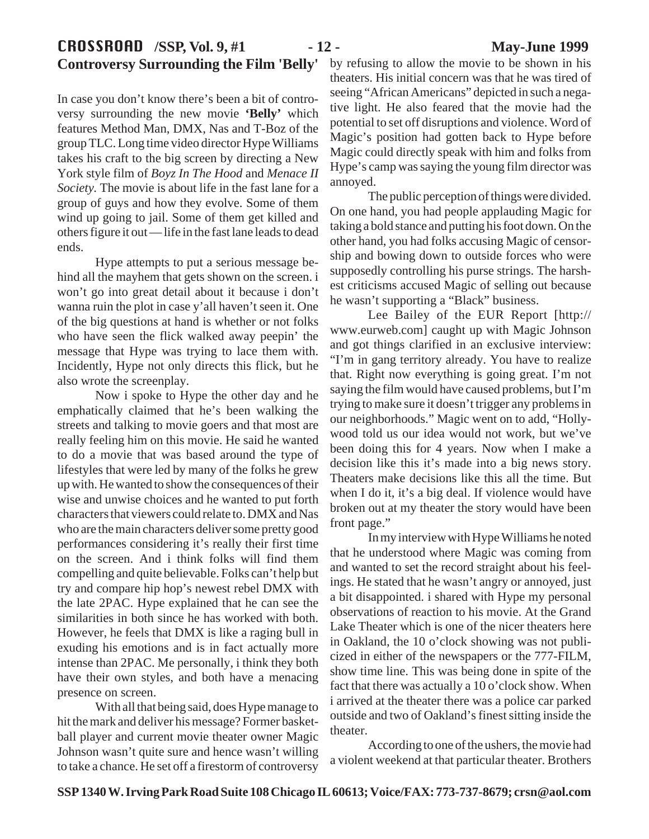# CROSSROAD **/SSP, Vol. 9, #1 - 12 - May-June 1999 Controversy Surrounding the Film 'Belly'**

In case you don't know there's been a bit of controversy surrounding the new movie **'Belly'** which features Method Man, DMX, Nas and T-Boz of the group TLC. Long time video director Hype Williams takes his craft to the big screen by directing a New York style film of *Boyz In The Hood* and *Menace II Society.* The movie is about life in the fast lane for a group of guys and how they evolve. Some of them wind up going to jail. Some of them get killed and others figure it out — life in the fast lane leads to dead ends.

Hype attempts to put a serious message behind all the mayhem that gets shown on the screen. i won't go into great detail about it because i don't wanna ruin the plot in case y'all haven't seen it. One of the big questions at hand is whether or not folks who have seen the flick walked away peepin' the message that Hype was trying to lace them with. Incidently, Hype not only directs this flick, but he also wrote the screenplay.

Now i spoke to Hype the other day and he emphatically claimed that he's been walking the streets and talking to movie goers and that most are really feeling him on this movie. He said he wanted to do a movie that was based around the type of lifestyles that were led by many of the folks he grew up with. He wanted to show the consequences of their wise and unwise choices and he wanted to put forth characters that viewers could relate to. DMX and Nas who are the main characters deliver some pretty good performances considering it's really their first time on the screen. And i think folks will find them compelling and quite believable. Folks can't help but try and compare hip hop's newest rebel DMX with the late 2PAC. Hype explained that he can see the similarities in both since he has worked with both. However, he feels that DMX is like a raging bull in exuding his emotions and is in fact actually more intense than 2PAC. Me personally, i think they both have their own styles, and both have a menacing presence on screen.

With all that being said, does Hype manage to hit the mark and deliver his message? Former basketball player and current movie theater owner Magic Johnson wasn't quite sure and hence wasn't willing to take a chance. He set off a firestorm of controversy

by refusing to allow the movie to be shown in his theaters. His initial concern was that he was tired of seeing "African Americans" depicted in such a negative light. He also feared that the movie had the potential to set off disruptions and violence. Word of Magic's position had gotten back to Hype before Magic could directly speak with him and folks from Hype's camp was saying the young film director was annoyed.

The public perception of things were divided. On one hand, you had people applauding Magic for taking a bold stance and putting his foot down. On the other hand, you had folks accusing Magic of censorship and bowing down to outside forces who were supposedly controlling his purse strings. The harshest criticisms accused Magic of selling out because he wasn't supporting a "Black" business.

Lee Bailey of the EUR Report [http:// www.eurweb.com] caught up with Magic Johnson and got things clarified in an exclusive interview: "I'm in gang territory already. You have to realize that. Right now everything is going great. I'm not saying the film would have caused problems, but I'm trying to make sure it doesn't trigger any problems in our neighborhoods." Magic went on to add, "Hollywood told us our idea would not work, but we've been doing this for 4 years. Now when I make a decision like this it's made into a big news story. Theaters make decisions like this all the time. But when I do it, it's a big deal. If violence would have broken out at my theater the story would have been front page."

In my interview with Hype Williams he noted that he understood where Magic was coming from and wanted to set the record straight about his feelings. He stated that he wasn't angry or annoyed, just a bit disappointed. i shared with Hype my personal observations of reaction to his movie. At the Grand Lake Theater which is one of the nicer theaters here in Oakland, the 10 o'clock showing was not publicized in either of the newspapers or the 777-FILM, show time line. This was being done in spite of the fact that there was actually a 10 o'clock show. When i arrived at the theater there was a police car parked outside and two of Oakland's finest sitting inside the theater.

According to one of the ushers, the movie had a violent weekend at that particular theater. Brothers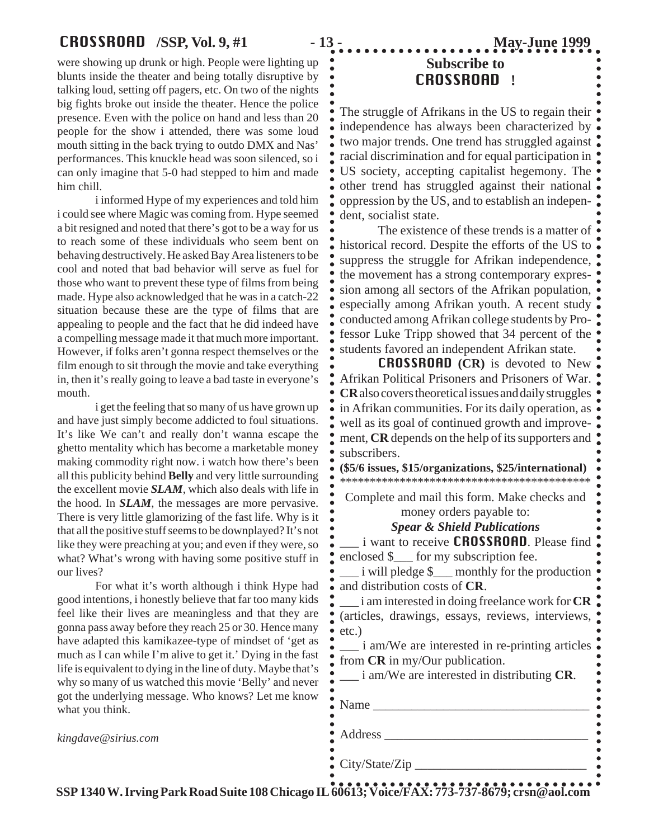# **CROSSROAD** /SSP, Vol. 9, #1  $-13 - 13 - 13$  May-June 1999

were showing up drunk or high. People were lighting up blunts inside the theater and being totally disruptive by talking loud, setting off pagers, etc. On two of the nights big fights broke out inside the theater. Hence the police presence. Even with the police on hand and less than 20 people for the show i attended, there was some loud mouth sitting in the back trying to outdo DMX and Nas' performances. This knuckle head was soon silenced, so i can only imagine that 5-0 had stepped to him and made him chill.

i informed Hype of my experiences and told him i could see where Magic was coming from. Hype seemed a bit resigned and noted that there's got to be a way for us to reach some of these individuals who seem bent on behaving destructively. He asked Bay Area listeners to be cool and noted that bad behavior will serve as fuel for those who want to prevent these type of films from being made. Hype also acknowledged that he was in a catch-22 situation because these are the type of films that are appealing to people and the fact that he did indeed have a compelling message made it that much more important. However, if folks aren't gonna respect themselves or the film enough to sit through the movie and take everything in, then it's really going to leave a bad taste in everyone's mouth.

i get the feeling that so many of us have grown up and have just simply become addicted to foul situations. It's like We can't and really don't wanna escape the ghetto mentality which has become a marketable money making commodity right now. i watch how there's been all this publicity behind **Belly** and very little surrounding the excellent movie *SLAM*, which also deals with life in the hood. In *SLAM*, the messages are more pervasive. There is very little glamorizing of the fast life. Why is it that all the positive stuff seems to be downplayed? It's not like they were preaching at you; and even if they were, so what? What's wrong with having some positive stuff in our lives?

For what it's worth although i think Hype had good intentions, i honestly believe that far too many kids feel like their lives are meaningless and that they are gonna pass away before they reach 25 or 30. Hence many have adapted this kamikazee-type of mindset of 'get as much as I can while I'm alive to get it.' Dying in the fast life is equivalent to dying in the line of duty. Maybe that's why so many of us watched this movie 'Belly' and never got the underlying message. Who knows? Let me know what you think.

*kingdave@sirius.com*

# **Subscribe to** CROSSROAD **!**

The struggle of Afrikans in the US to regain their independence has always been characterized by two major trends. One trend has struggled against racial discrimination and for equal participation in US society, accepting capitalist hegemony. The other trend has struggled against their national oppression by the US, and to establish an independent, socialist state.

The existence of these trends is a matter of historical record. Despite the efforts of the US to suppress the struggle for Afrikan independence, the movement has a strong contemporary expression among all sectors of the Afrikan population, especially among Afrikan youth. A recent study conducted among Afrikan college students by Professor Luke Tripp showed that 34 percent of the students favored an independent Afrikan state.

CROSSROAD **(CR)** is devoted to New Afrikan Political Prisoners and Prisoners of War. **CR** also covers theoretical issues and daily struggles in Afrikan communities. For its daily operation, as well as its goal of continued growth and improvement, **CR** depends on the help of its supporters and subscribers.

**(\$5/6 issues, \$15/organizations, \$25/international)** \*\*\*\*\*\*\*\*\*\*\*\*\*\*\*\*\*\*\*\*\*\*\*\*\*\*\*\*\*\*\*\*\*\*\*\*\*\*\*\*\*\*

Complete and mail this form. Make checks and money orders payable to:

# *Spear & Shield Publications*

i want to receive **CROSSROAD**. Please find enclosed \$\_\_\_ for my subscription fee.

i will pledge \$\_\_\_ monthly for the production and distribution costs of **CR**.

\_\_\_ i am interested in doing freelance work for **CR** (articles, drawings, essays, reviews, interviews, etc.)

\_\_\_ i am/We are interested in re-printing articles from **CR** in my/Our publication.

\_\_\_ i am/We are interested in distributing **CR**.

Name

Address \_

City/State/Zip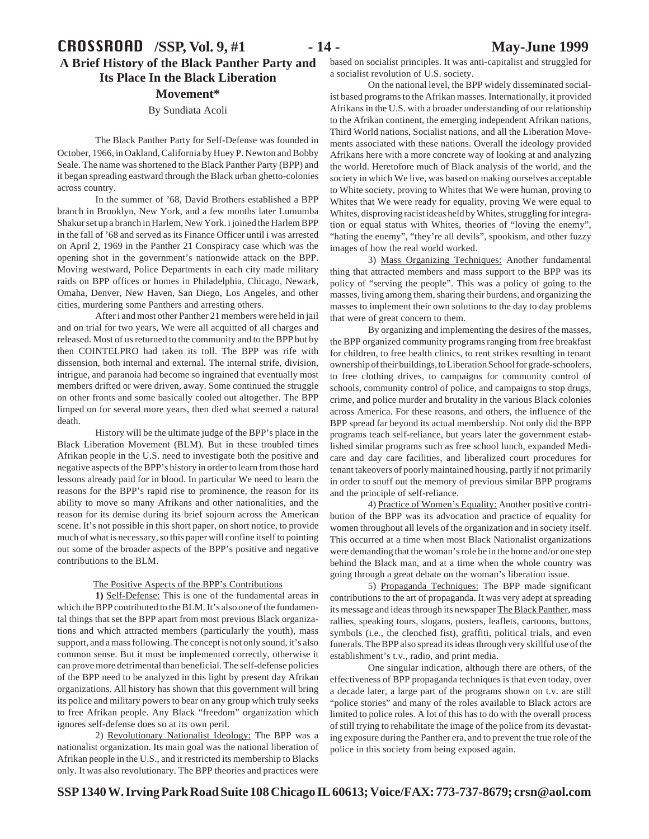# **Movement\***

#### By Sundiata Acoli

The Black Panther Party for Self-Defense was founded in October, 1966, in Oakland, California by Huey P. Newton and Bobby Seale. The name was shortened to the Black Panther Party (BPP) and it began spreading eastward through the Black urban ghetto-colonies across country.

In the summer of '68, David Brothers established a BPP branch in Brooklyn, New York, and a few months later Lumumba Shakur set up a branch in Harlem, New York. i joined the Harlem BPP in the fall of '68 and served as its Finance Officer until i was arrested on April 2, 1969 in the Panther 21 Conspiracy case which was the opening shot in the government's nationwide attack on the BPP. Moving westward, Police Departments in each city made military raids on BPP offices or homes in Philadelphia, Chicago, Newark, Omaha, Denver, New Haven, San Diego, Los Angeles, and other cities, murdering some Panthers and arresting others.

After i and most other Panther 21 members were held in jail and on trial for two years, We were all acquitted of all charges and released. Most of us returned to the community and to the BPP but by then COINTELPRO had taken its toll. The BPP was rife with dissension, both internal and external. The internal strife, division, intrigue, and paranoia had become so ingrained that eventually most members drifted or were driven, away. Some continued the struggle on other fronts and some basically cooled out altogether. The BPP limped on for several more years, then died what seemed a natural death.

History will be the ultimate judge of the BPP's place in the Black Liberation Movement (BLM). But in these troubled times Afrikan people in the U.S. need to investigate both the positive and negative aspects of the BPP's history in order to learn from those hard lessons already paid for in blood. In particular We need to learn the reasons for the BPP's rapid rise to prominence, the reason for its ability to move so many Afrikans and other nationalities, and the reason for its demise during its brief sojourn across the American scene. It's not possible in this short paper, on short notice, to provide much of what is necessary, so this paper will confine itself to pointing out some of the broader aspects of the BPP's positive and negative contributions to the BLM.

#### The Positive Aspects of the BPP's Contributions

**1)** Self-Defense: This is one of the fundamental areas in which the BPP contributed to the BLM. It's also one of the fundamental things that set the BPP apart from most previous Black organizations and which attracted members (particularly the youth), mass support, and a mass following. The concept is not only sound, it's also common sense. But it must be implemented correctly, otherwise it can prove more detrimental than beneficial. The self-defense policies of the BPP need to be analyzed in this light by present day Afrikan organizations. All history has shown that this government will bring its police and military powers to bear on any group which truly seeks to free Afrikan people. Any Black "freedom" organization which ignores self-defense does so at its own peril.

2) Revolutionary Nationalist Ideology: The BPP was a nationalist organization. Its main goal was the national liberation of Afrikan people in the U.S., and it restricted its membership to Blacks only. It was also revolutionary. The BPP theories and practices were

based on socialist principles. It was anti-capitalist and struggled for a socialist revolution of U.S. society.

On the national level, the BPP widely disseminated socialist based programs to the Afrikan masses. Internationally, it provided Afrikans in the U.S. with a broader understanding of our relationship to the Afrikan continent, the emerging independent Afrikan nations, Third World nations, Socialist nations, and all the Liberation Movements associated with these nations. Overall the ideology provided Afrikans here with a more concrete way of looking at and analyzing the world. Heretofore much of Black analysis of the world, and the society in which We live, was based on making ourselves acceptable to White society, proving to Whites that We were human, proving to Whites that We were ready for equality, proving We were equal to Whites, disproving racist ideas held by Whites, struggling for integration or equal status with Whites, theories of "loving the enemy", "hating the enemy", "they're all devils", spookism, and other fuzzy images of how the real world worked.

3) Mass Organizing Techniques: Another fundamental thing that attracted members and mass support to the BPP was its policy of "serving the people". This was a policy of going to the masses, living among them, sharing their burdens, and organizing the masses to implement their own solutions to the day to day problems that were of great concern to them.

By organizing and implementing the desires of the masses, the BPP organized community programs ranging from free breakfast for children, to free health clinics, to rent strikes resulting in tenant ownership of their buildings, to Liberation School for grade-schoolers, to free clothing drives, to campaigns for community control of schools, community control of police, and campaigns to stop drugs, crime, and police murder and brutality in the various Black colonies across America. For these reasons, and others, the influence of the BPP spread far beyond its actual membership. Not only did the BPP programs teach self-reliance, but years later the government established similar programs such as free school lunch, expanded Medicare and day care facilities, and liberalized court procedures for tenant takeovers of poorly maintained housing, partly if not primarily in order to snuff out the memory of previous similar BPP programs and the principle of self-reliance.

4) Practice of Women's Equality: Another positive contribution of the BPP was its advocation and practice of equality for women throughout all levels of the organization and in society itself. This occurred at a time when most Black Nationalist organizations were demanding that the woman's role be in the home and/or one step behind the Black man, and at a time when the whole country was going through a great debate on the woman's liberation issue.

5) Propaganda Techniques: The BPP made significant contributions to the art of propaganda. It was very adept at spreading its message and ideas through its newspaper The Black Panther, mass rallies, speaking tours, slogans, posters, leaflets, cartoons, buttons, symbols (i.e., the clenched fist), graffiti, political trials, and even funerals. The BPP also spread its ideas through very skillful use of the establishment's t.v., radio, and print media.

One singular indication, although there are others, of the effectiveness of BPP propaganda techniques is that even today, over a decade later, a large part of the programs shown on t.v. are still "police stories" and many of the roles available to Black actors are limited to police roles. A lot of this has to do with the overall process of still trying to rehabilitate the image of the police from its devastating exposure during the Panther era, and to prevent the true role of the police in this society from being exposed again.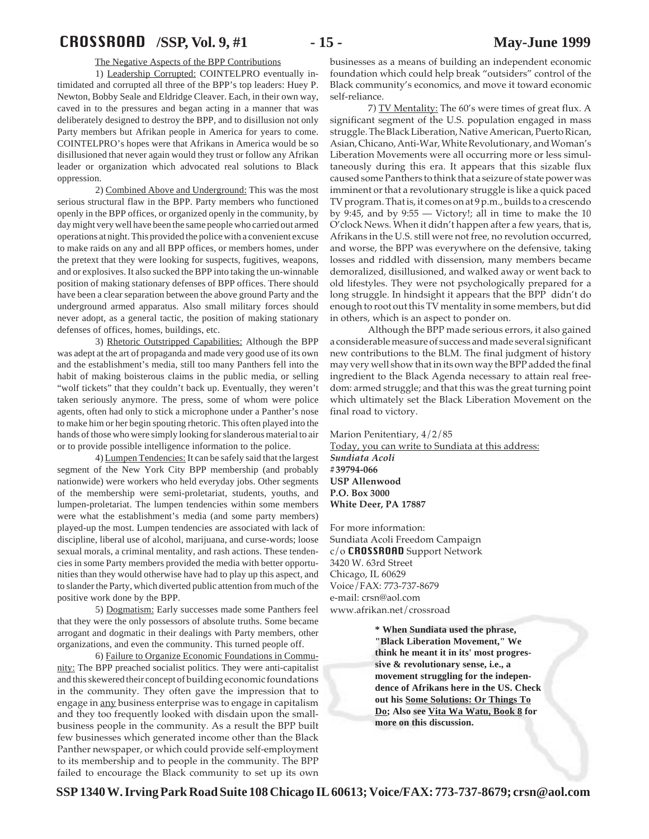# CROSSROAD **/SSP, Vol. 9, #1 - 15 - May-June 1999**

### The Negative Aspects of the BPP Contributions

1) Leadership Corrupted: COINTELPRO eventually intimidated and corrupted all three of the BPP's top leaders: Huey P. Newton, Bobby Seale and Eldridge Cleaver. Each, in their own way, caved in to the pressures and began acting in a manner that was deliberately designed to destroy the BPP, and to disillusion not only Party members but Afrikan people in America for years to come. COINTELPRO's hopes were that Afrikans in America would be so disillusioned that never again would they trust or follow any Afrikan leader or organization which advocated real solutions to Black oppression.

2) Combined Above and Underground: This was the most serious structural flaw in the BPP. Party members who functioned openly in the BPP offices, or organized openly in the community, by day might very well have been the same people who carried out armed operations at night. This provided the police with a convenient excuse to make raids on any and all BPP offices, or members homes, under the pretext that they were looking for suspects, fugitives, weapons, and or explosives. It also sucked the BPP into taking the un-winnable position of making stationary defenses of BPP offices. There should have been a clear separation between the above ground Party and the underground armed apparatus. Also small military forces should never adopt, as a general tactic, the position of making stationary defenses of offices, homes, buildings, etc.

3) Rhetoric Outstripped Capabilities: Although the BPP was adept at the art of propaganda and made very good use of its own and the establishment's media, still too many Panthers fell into the habit of making boisterous claims in the public media, or selling "wolf tickets" that they couldn't back up. Eventually, they weren't taken seriously anymore. The press, some of whom were police agents, often had only to stick a microphone under a Panther's nose to make him or her begin spouting rhetoric. This often played into the hands of those who were simply looking for slanderous material to air or to provide possible intelligence information to the police.

4) Lumpen Tendencies: It can be safely said that the largest segment of the New York City BPP membership (and probably nationwide) were workers who held everyday jobs. Other segments of the membership were semi-proletariat, students, youths, and lumpen-proletariat. The lumpen tendencies within some members were what the establishment's media (and some party members) played-up the most. Lumpen tendencies are associated with lack of discipline, liberal use of alcohol, marijuana, and curse-words; loose sexual morals, a criminal mentality, and rash actions. These tendencies in some Party members provided the media with better opportunities than they would otherwise have had to play up this aspect, and to slander the Party, which diverted public attention from much of the positive work done by the BPP.

5) Dogmatism: Early successes made some Panthers feel that they were the only possessors of absolute truths. Some became arrogant and dogmatic in their dealings with Party members, other organizations, and even the community. This turned people off.

6) Failure to Organize Economic Foundations in Community: The BPP preached socialist politics. They were anti-capitalist and this skewered their concept of building economic foundations in the community. They often gave the impression that to engage in any business enterprise was to engage in capitalism and they too frequently looked with disdain upon the smallbusiness people in the community. As a result the BPP built few businesses which generated income other than the Black Panther newspaper, or which could provide self-employment to its membership and to people in the community. The BPP failed to encourage the Black community to set up its own

businesses as a means of building an independent economic foundation which could help break "outsiders" control of the Black community's economics, and move it toward economic self-reliance.

7) TV Mentality: The 60's were times of great flux. A significant segment of the U.S. population engaged in mass struggle. The Black Liberation, Native American, Puerto Rican, Asian, Chicano, Anti-War, White Revolutionary, and Woman's Liberation Movements were all occurring more or less simultaneously during this era. It appears that this sizable flux caused some Panthers to think that a seizure of state power was imminent or that a revolutionary struggle is like a quick paced TV program. That is, it comes on at 9 p.m., builds to a crescendo by 9:45, and by 9:55 — Victory!; all in time to make the 10 O'clock News. When it didn't happen after a few years, that is, Afrikans in the U.S. still were not free, no revolution occurred, and worse, the BPP was everywhere on the defensive, taking losses and riddled with dissension, many members became demoralized, disillusioned, and walked away or went back to old lifestyles. They were not psychologically prepared for a long struggle. In hindsight it appears that the BPP didn't do enough to root out this TV mentality in some members, but did in others, which is an aspect to ponder on.

Although the BPP made serious errors, it also gained a considerable measure of success and made several significant new contributions to the BLM. The final judgment of history may very well show that in its own way the BPP added the final ingredient to the Black Agenda necessary to attain real freedom: armed struggle; and that this was the great turning point which ultimately set the Black Liberation Movement on the final road to victory.

Marion Penitentiary, 4/2/85

Today, you can write to Sundiata at this address: *Sundiata Acoli* **#39794-066 USP Allenwood P.O. Box 3000 White Deer, PA 17887**

For more information: Sundiata Acoli Freedom Campaign  $c/o$  **CROSSROAD** Support Network 3420 W. 63rd Street Chicago, IL 60629 Voice/FAX: 773-737-8679 e-mail: crsn@aol.com www.afrikan.net/crossroad

> **\* When Sundiata used the phrase, "Black Liberation Movement," We think he meant it in its' most progressive & revolutionary sense, i.e., a movement struggling for the independence of Afrikans here in the US. Check out his Some Solutions: Or Things To Do; Also see Vita Wa Watu, Book 8 for more on this discussion.**